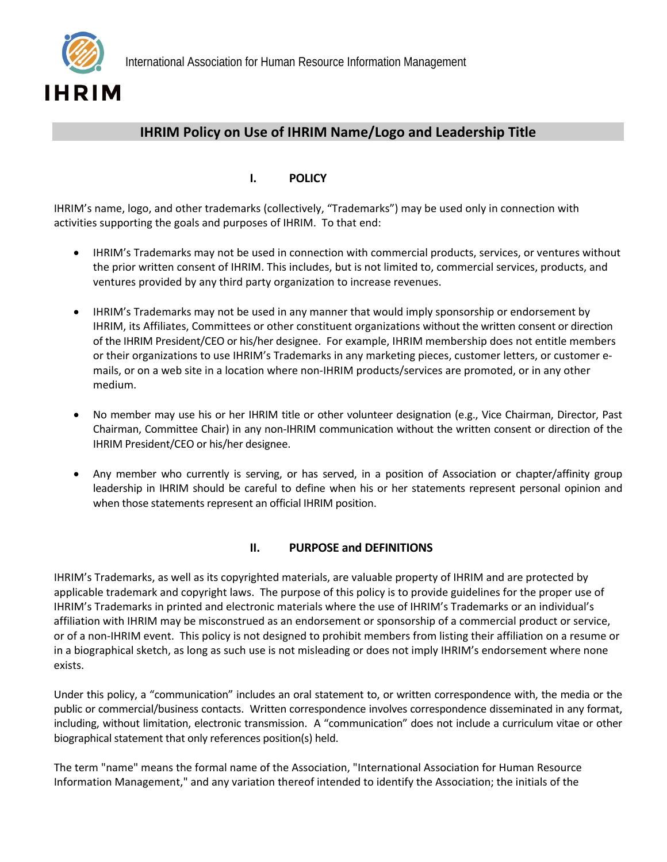

## **IHRIM Policy on Use of IHRIM Name/Logo and Leadership Title**

## **I. POLICY**

IHRIM's name, logo, and other trademarks (collectively, "Trademarks") may be used only in connection with activities supporting the goals and purposes of IHRIM. To that end:

- IHRIM's Trademarks may not be used in connection with commercial products, services, or ventures without the prior written consent of IHRIM. This includes, but is not limited to, commercial services, products, and ventures provided by any third party organization to increase revenues.
- IHRIM's Trademarks may not be used in any manner that would imply sponsorship or endorsement by IHRIM, its Affiliates, Committees or other constituent organizations without the written consent or direction of the IHRIM President/CEO or his/her designee. For example, IHRIM membership does not entitle members or their organizations to use IHRIM's Trademarks in any marketing pieces, customer letters, or customer e‐ mails, or on a web site in a location where non-IHRIM products/services are promoted, or in any other medium.
- No member may use his or her IHRIM title or other volunteer designation (e.g., Vice Chairman, Director, Past Chairman, Committee Chair) in any non‐IHRIM communication without the written consent or direction of the IHRIM President/CEO or his/her designee.
- Any member who currently is serving, or has served, in a position of Association or chapter/affinity group leadership in IHRIM should be careful to define when his or her statements represent personal opinion and when those statements represent an official IHRIM position.

## **II. PURPOSE and DEFINITIONS**

IHRIM's Trademarks, as well as its copyrighted materials, are valuable property of IHRIM and are protected by applicable trademark and copyright laws. The purpose of this policy is to provide guidelines for the proper use of IHRIM's Trademarks in printed and electronic materials where the use of IHRIM's Trademarks or an individual's affiliation with IHRIM may be misconstrued as an endorsement or sponsorship of a commercial product or service, or of a non‐IHRIM event. This policy is not designed to prohibit members from listing their affiliation on a resume or in a biographical sketch, as long as such use is not misleading or does not imply IHRIM's endorsement where none exists.

Under this policy, a "communication" includes an oral statement to, or written correspondence with, the media or the public or commercial/business contacts. Written correspondence involves correspondence disseminated in any format, including, without limitation, electronic transmission. A "communication" does not include a curriculum vitae or other biographical statement that only references position(s) held.

The term "name" means the formal name of the Association, "International Association for Human Resource Information Management," and any variation thereof intended to identify the Association; the initials of the